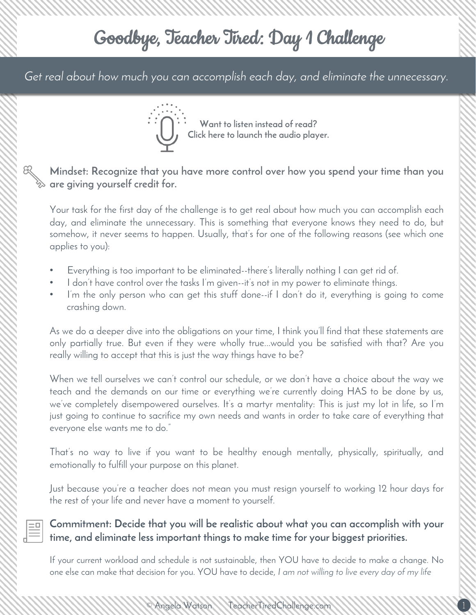## Goodbye, Teacher Tired: Day 1 Challenge

*Get real about how much you can accomplish each day, and eliminate the unnecessary.*



**Want to listen instead of read? [Click here to launch the audio player.](https://www.filepicker.io/api/file/q7eU5xVDSUC0ohxYhiEg)**

**Mindset: Recognize that you have more control over how you spend your time than you are giving yourself credit for.** 

Your task for the first day of the challenge is to get real about how much you can accomplish each day, and eliminate the unnecessary. This is something that everyone knows they need to do, but somehow, it never seems to happen. Usually, that's for one of the following reasons (see which one applies to you):

- Everything is too important to be eliminated--there's literally nothing I can get rid of.
- I don't have control over the tasks I'm given--it's not in my power to eliminate things.
- I'm the only person who can get this stuff done--if I don't do it, everything is going to come crashing down.

As we do a deeper dive into the obligations on your time, I think you'll find that these statements are only partially true. But even if they were wholly true...would you be satisfied with that? Are you really willing to accept that this is just the way things have to be?

When we tell ourselves we can't control our schedule, or we don't have a choice about the way we teach and the demands on our time or everything we're currently doing HAS to be done by us, we've completely disempowered ourselves. It's a martyr mentality: This is just my lot in life, so I'm just going to continue to sacrifice my own needs and wants in order to take care of everything that everyone else wants me to do."

That's no way to live if you want to be healthy enough mentally, physically, spiritually, and emotionally to fulfill your purpose on this planet.

Just because you're a teacher does not mean you must resign yourself to working 12 hour days for the rest of your life and never have a moment to yourself.

#### **Commitment: Decide that you will be realistic about what you can accomplish with your time, and eliminate less important things to make time for your biggest priorities.**

If your current workload and schedule is not sustainable, then YOU have to decide to make a change. No one else can make that decision for you. YOU have to decide, *I am not willing to live every day of my life*

 $\bullet$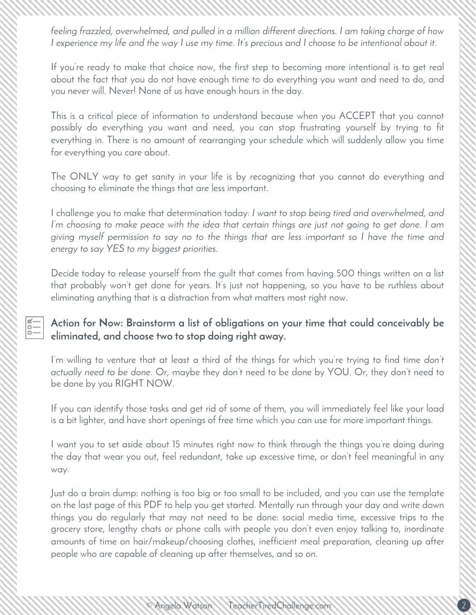*feeling frazzled, overwhelmed, and pulled in a million different directions. I am taking charge of how I experience my life and the way I use my time. It's precious and I choose to be intentional about it*.

If you're ready to make that choice now, the first step to becoming more intentional is to get real about the fact that you do not have enough time to do everything you want and need to do, and you never will. Never! None of us have enough hours in the day.

This is a critical piece of information to understand because when you ACCEPT that you cannot possibly do everything you want and need, you can stop frustrating yourself by trying to fit everything in. There is no amount of rearranging your schedule which will suddenly allow you time for everything you care about.

The ONLY way to get sanity in your life is by recognizing that you cannot do everything and choosing to eliminate the things that are less important.

I challenge you to make that determination today: *I want to stop being tired and overwhelmed, and I'm choosing to make peace with the idea that certain things are just not going to get done. I am giving myself permission to say no to the things that are less important so I have the time and energy to say YES to my biggest priorities.*

Decide today to release yourself from the guilt that comes from having 500 things written on a list that probably won't get done for years. It's just not happening, so you have to be ruthless about eliminating anything that is a distraction from what matters most right now.

#### **Action for Now: Brainstorm a list of obligations on your time that could conceivably be eliminated, and choose two to stop doing right away.**

 $\begin{array}{c} \boxed{a} \\ \boxed{b} \\ \boxed{c} \end{array}$ 

I'm willing to venture that at least a third of the things for which you're trying to find time *don't actually need to be done*. Or, maybe they don't need to be done by YOU. Or, they don't need to be done by you RIGHT NOW.

If you can identify those tasks and get rid of some of them, you will immediately feel like your load is a bit lighter, and have short openings of free time which you can use for more important things.

I want you to set aside about 15 minutes right now to think through the things you're doing during the day that wear you out, feel redundant, take up excessive time, or don't feel meaningful in any way.

Just do a brain dump: nothing is too big or too small to be included, and you can use the template on the last page of this PDF to help you get started. Mentally run through your day and write down things you do regularly that may not need to be done: social media time, excessive trips to the grocery store, lengthy chats or phone calls with people you don't even enjoy talking to, inordinate amounts of time on hair/makeup/choosing clothes, inefficient meal preparation, cleaning up after people who are capable of cleaning up after themselves, and so on.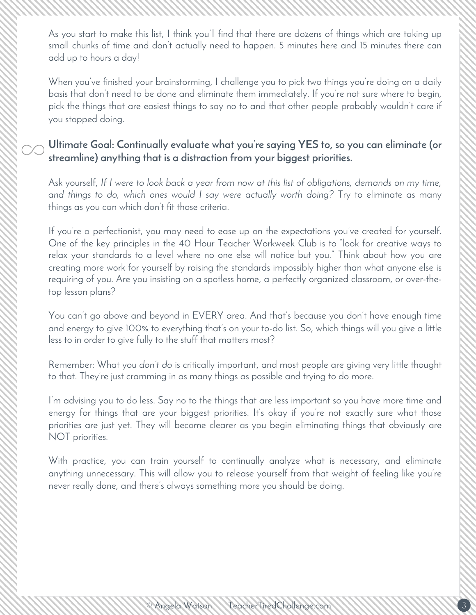As you start to make this list, I think you'll find that there are dozens of things which are taking up small chunks of time and don't actually need to happen. 5 minutes here and 15 minutes there can add up to hours a day!

When you've finished your brainstorming, I challenge you to pick two things you're doing on a daily basis that don't need to be done and eliminate them immediately. If you're not sure where to begin, pick the things that are easiest things to say no to and that other people probably wouldn't care if you stopped doing.

#### **Ultimate Goal: Continually evaluate what you're saying YES to, so you can eliminate (or streamline) anything that is a distraction from your biggest priorities.**

Ask yourself, *If I were to look back a year from now at this list of obligations, demands on my time, and things to do, which ones would I say were actually worth doing?* Try to eliminate as many things as you can which don't fit those criteria.

If you're a perfectionist, you may need to ease up on the expectations you've created for yourself. One of the key principles in the 40 Hour Teacher Workweek Club is to "look for creative ways to relax your standards to a level where no one else will notice but you." Think about how you are creating more work for yourself by raising the standards impossibly higher than what anyone else is requiring of you. Are you insisting on a spotless home, a perfectly organized classroom, or over-thetop lesson plans?

You can't go above and beyond in EVERY area. And that's because you don't have enough time and energy to give 100% to everything that's on your to-do list. So, which things will you give a little less to in order to give fully to the stuff that matters most?

Remember: What you *don't do* is critically important, and most people are giving very little thought to that. They're just cramming in as many things as possible and trying to do more.

I'm advising you to do less. Say no to the things that are less important so you have more time and energy for things that are your biggest priorities. It's okay if you're not exactly sure what those priorities are just yet. They will become clearer as you begin eliminating things that obviously are NOT priorities.

With practice, you can train yourself to continually analyze what is necessary, and eliminate anything unnecessary. This will allow you to release yourself from that weight of feeling like you're never really done, and there's always something more you should be doing.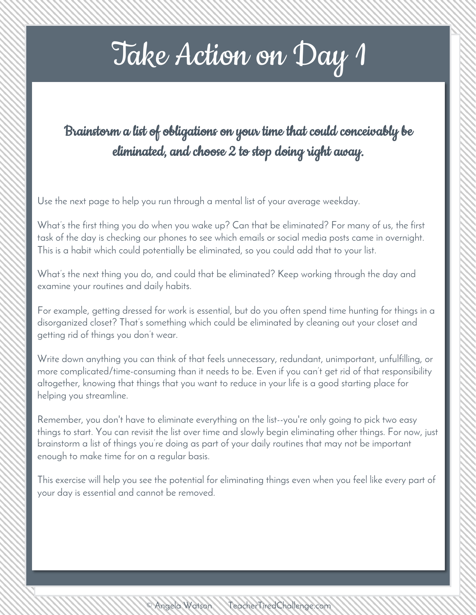# Take Action on Day 1

### Brainstorm a list of obligations on your time that could conceivably be eliminated, and choose 2 to stop doing right away.

Use the next page to help you run through a mental list of your average weekday.

What's the first thing you do when you wake up? Can that be eliminated? For many of us, the first task of the day is checking our phones to see which emails or social media posts came in overnight. This is a habit which could potentially be eliminated, so you could add that to your list.

What's the next thing you do, and could that be eliminated? Keep working through the day and examine your routines and daily habits.

For example, getting dressed for work is essential, but do you often spend time hunting for things in a disorganized closet? That's something which could be eliminated by cleaning out your closet and getting rid of things you don't wear.

Write down anything you can think of that feels unnecessary, redundant, unimportant, unfulfilling, or more complicated/time-consuming than it needs to be. Even if you can't get rid of that responsibility altogether, knowing that things that you want to reduce in your life is a good starting place for helping you streamline.

Remember, you don't have to eliminate everything on the list--you're only going to pick two easy things to start. You can revisit the list over time and slowly begin eliminating other things. For now, just brainstorm a list of things you're doing as part of your daily routines that may not be important enough to make time for on a regular basis.

This exercise will help you see the potential for eliminating things even when you feel like every part of your day is essential and cannot be removed.